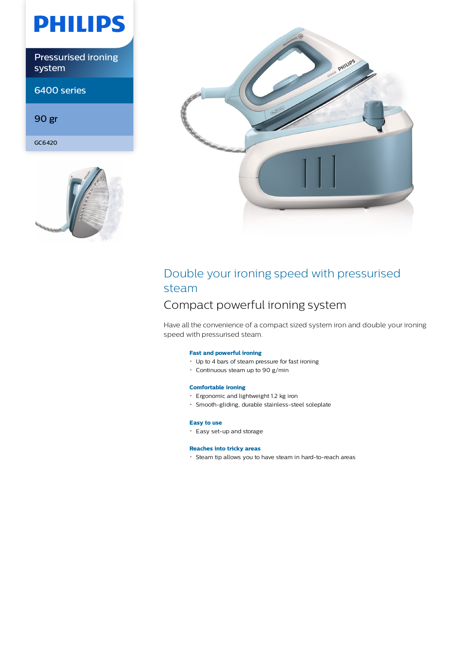# **PHILIPS**

Pressurised ironing system

6400 series

90 gr

GC6420





## Double your ironing speed with pressurised steam

### Compact powerful ironing system

Have all the convenience of a compact sized system iron and double your ironing speed with pressurised steam.

### **Fast and powerful ironing**

- Up to 4 bars of steam pressure for fast ironing
- Continuous steam up to 90 g/min

### **Comfortable ironing**

- Ergonomic and lightweight 1.2 kg iron
- Smooth-gliding, durable stainless-steel soleplate

### **Easy to use**

Easy set-up and storage

### **Reaches into tricky areas**

Steam tip allows you to have steam in hard-to-reach areas